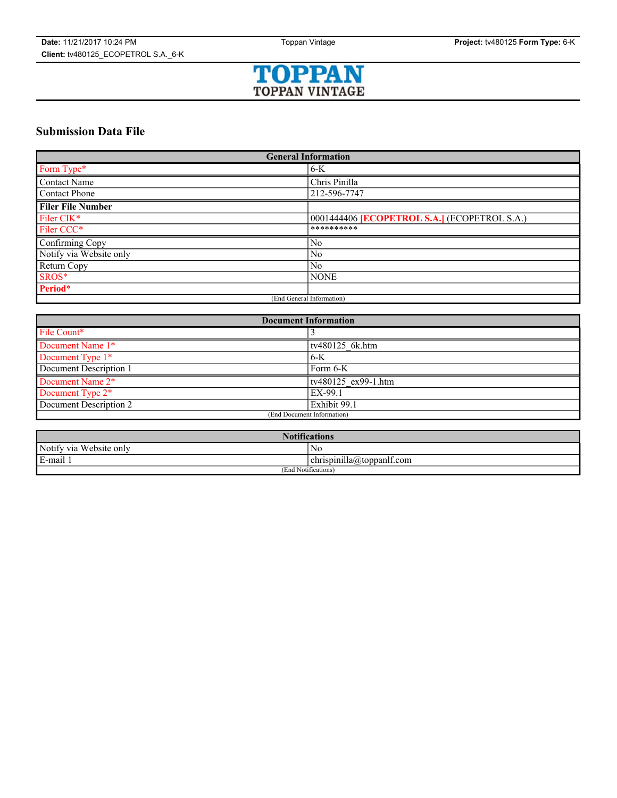

## **Submission Data File**

| <b>General Information</b> |                                                   |
|----------------------------|---------------------------------------------------|
| Form Type*                 | $6-K$                                             |
| Contact Name               | Chris Pinilla                                     |
| Contact Phone              | 212-596-7747                                      |
| l Filer File Number        |                                                   |
| Filer CIK*                 | 0001444406 <b>ECOPETROL S.A.</b> (ECOPETROL S.A.) |
| Filer CCC*                 | **********                                        |
| Confirming Copy            | N <sub>0</sub>                                    |
| Notify via Website only    | N <sub>0</sub>                                    |
| Return Copy                | N <sub>0</sub>                                    |
| SROS*                      | <b>NONE</b>                                       |
| Period*                    |                                                   |
| (End General Information)  |                                                   |

| <b>Document Information</b> |                     |
|-----------------------------|---------------------|
| File Count*                 |                     |
| Document Name 1*            | tv480125 6k.htm     |
| Document Type 1*            | $6-K$               |
| Document Description 1      | Form 6-K            |
| Document Name 2*            | tv480125 ex99-1.htm |
| Document Type 2*            | EX-99.1             |
| Document Description 2      | Exhibit 99.1        |
| (End Document Information)  |                     |

| <b>Notifications</b>         |                           |
|------------------------------|---------------------------|
| Notify via<br>u Website only | No                        |
| E-mail                       | chrispinilla@toppanlf.com |
| (End Notifications)          |                           |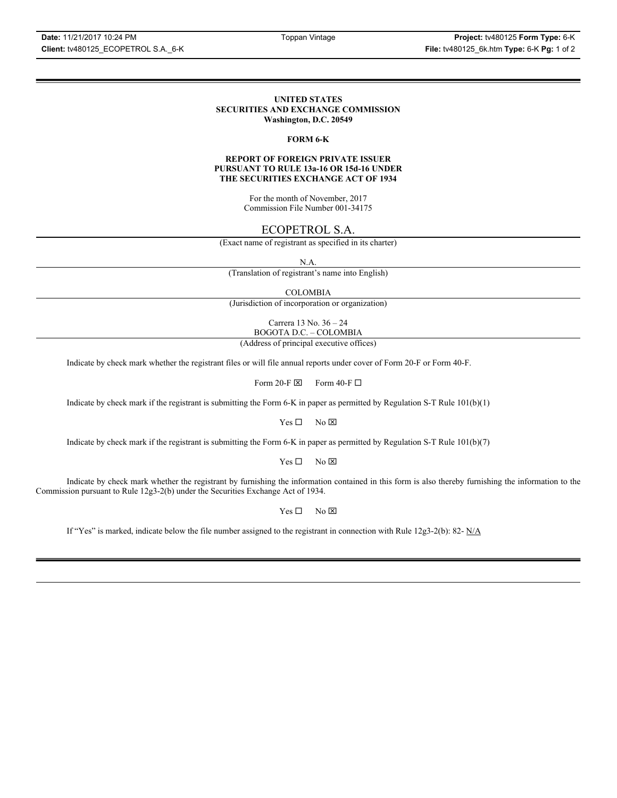#### **UNITED STATES SECURITIES AND EXCHANGE COMMISSION Washington, D.C. 20549**

#### **FORM 6-K**

#### **REPORT OF FOREIGN PRIVATE ISSUER PURSUANT TO RULE 13a-16 OR 15d-16 UNDER THE SECURITIES EXCHANGE ACT OF 1934**

For the month of November, 2017 Commission File Number 001-34175

### ECOPETROL S.A.

(Exact name of registrant as specified in its charter)

N.A.

(Translation of registrant's name into English)

COLOMBIA

(Jurisdiction of incorporation or organization)

Carrera 13 No. 36 – 24 BOGOTA D.C. – COLOMBIA

(Address of principal executive offices)

Indicate by check mark whether the registrant files or will file annual reports under cover of Form 20-F or Form 40-F.

Form 20-F  $\boxtimes$  Form 40-F  $\Box$ 

Indicate by check mark if the registrant is submitting the Form 6-K in paper as permitted by Regulation S-T Rule 101(b)(1)

 $Yes \Box$  No  $\boxtimes$ 

Indicate by check mark if the registrant is submitting the Form 6-K in paper as permitted by Regulation S-T Rule 101(b)(7)

 $Yes \Box$  No  $\boxtimes$ 

Indicate by check mark whether the registrant by furnishing the information contained in this form is also thereby furnishing the information to the Commission pursuant to Rule 12g3-2(b) under the Securities Exchange Act of 1934.

 $Yes \Box$  No  $\boxtimes$ 

If "Yes" is marked, indicate below the file number assigned to the registrant in connection with Rule 12g3-2(b): 82-  $N/A$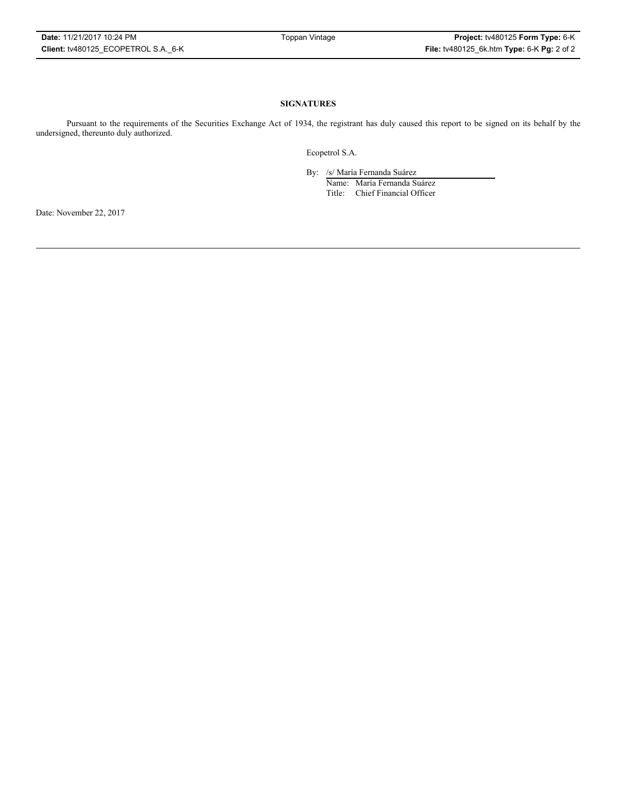#### **SIGNATURES**

Pursuant to the requirements of the Securities Exchange Act of 1934, the registrant has duly caused this report to be signed on its behalf by the undersigned, thereunto duly authorized.

Ecopetrol S.A.

By: /s/ María Fernanda Suárez

Name: María Fernanda Suárez Title: Chief Financial Officer

Date: November 22, 2017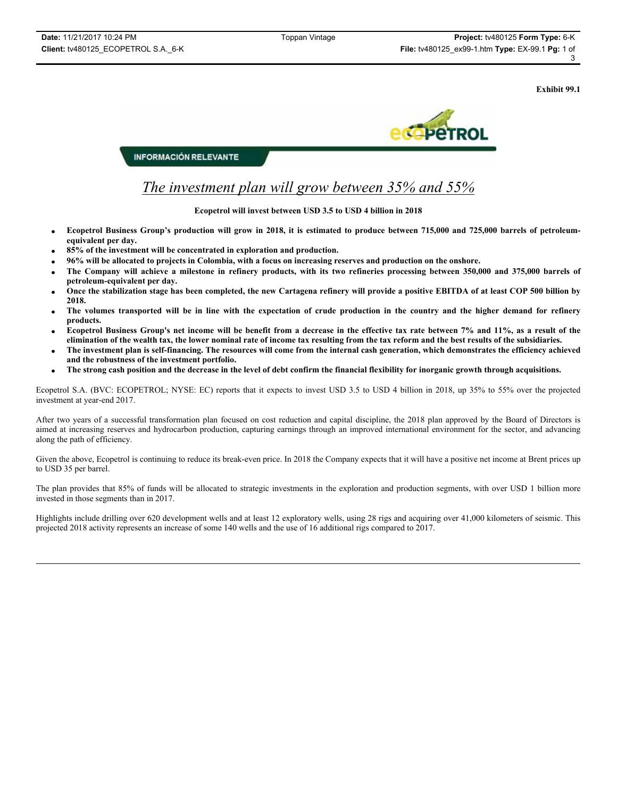**Exhibit 99.1**



**INFORMACIÓN RELEVANTE** 

# *The investment plan will grow between 35% and 55%*

**Ecopetrol will invest between USD 3.5 to USD 4 billion in 2018**

- Ecopetrol Business Group's production will grow in 2018, it is estimated to produce between 715,000 and 725,000 barrels of petroleum**equivalent per day.**
- x **85% of the investment will be concentrated in exploration and production.**
- x **96% will be allocated to projects in Colombia, with a focus on increasing reserves and production on the onshore.**
- x **The Company will achieve a milestone in refinery products, with its two refineries processing between 350,000 and 375,000 barrels of petroleum-equivalent per day.**
- x **Once the stabilization stage has been completed, the new Cartagena refinery will provide a positive EBITDA of at least COP 500 billion by 2018.**
- x **The volumes transported will be in line with the expectation of crude production in the country and the higher demand for refinery products.**
- x **Ecopetrol Business Group's net income will be benefit from a decrease in the effective tax rate between 7% and 11%, as a result of the elimination of the wealth tax, the lower nominal rate of income tax resulting from the tax reform and the best results of the subsidiaries.**
- x **The investment plan is self-financing. The resources will come from the internal cash generation, which demonstrates the efficiency achieved and the robustness of the investment portfolio.**
- x **The strong cash position and the decrease in the level of debt confirm the financial flexibility for inorganic growth through acquisitions.**

Ecopetrol S.A. (BVC: ECOPETROL; NYSE: EC) reports that it expects to invest USD 3.5 to USD 4 billion in 2018, up 35% to 55% over the projected investment at year-end 2017.

After two years of a successful transformation plan focused on cost reduction and capital discipline, the 2018 plan approved by the Board of Directors is aimed at increasing reserves and hydrocarbon production, capturing earnings through an improved international environment for the sector, and advancing along the path of efficiency.

Given the above, Ecopetrol is continuing to reduce its break-even price. In 2018 the Company expects that it will have a positive net income at Brent prices up to USD 35 per barrel.

The plan provides that 85% of funds will be allocated to strategic investments in the exploration and production segments, with over USD 1 billion more invested in those segments than in 2017.

Highlights include drilling over 620 development wells and at least 12 exploratory wells, using 28 rigs and acquiring over 41,000 kilometers of seismic. This projected 2018 activity represents an increase of some 140 wells and the use of 16 additional rigs compared to 2017.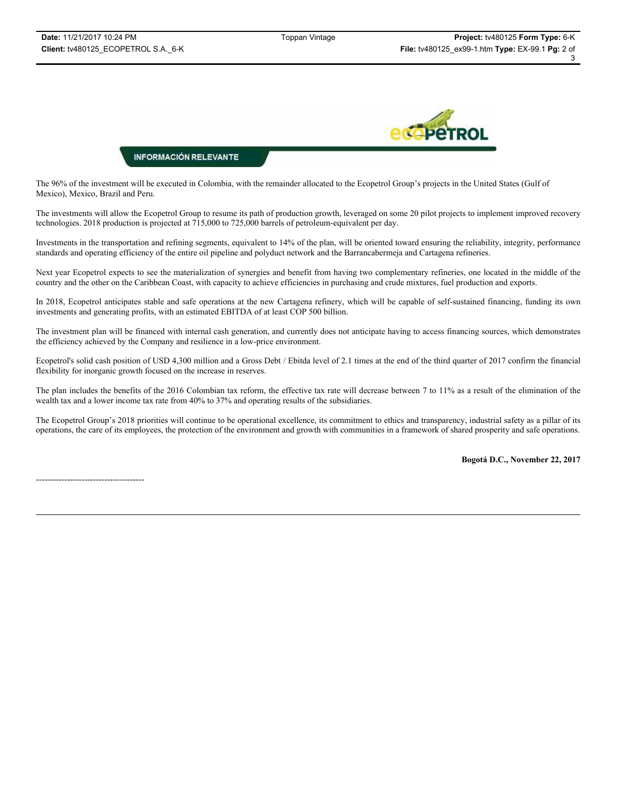

#### **INFORMACIÓN RELEVANTE**

The 96% of the investment will be executed in Colombia, with the remainder allocated to the Ecopetrol Group's projects in the United States (Gulf of Mexico), Mexico, Brazil and Peru.

The investments will allow the Ecopetrol Group to resume its path of production growth, leveraged on some 20 pilot projects to implement improved recovery technologies. 2018 production is projected at 715,000 to 725,000 barrels of petroleum-equivalent per day.

Investments in the transportation and refining segments, equivalent to 14% of the plan, will be oriented toward ensuring the reliability, integrity, performance standards and operating efficiency of the entire oil pipeline and polyduct network and the Barrancabermeja and Cartagena refineries.

Next year Ecopetrol expects to see the materialization of synergies and benefit from having two complementary refineries, one located in the middle of the country and the other on the Caribbean Coast, with capacity to achieve efficiencies in purchasing and crude mixtures, fuel production and exports.

In 2018, Ecopetrol anticipates stable and safe operations at the new Cartagena refinery, which will be capable of self-sustained financing, funding its own investments and generating profits, with an estimated EBITDA of at least COP 500 billion.

The investment plan will be financed with internal cash generation, and currently does not anticipate having to access financing sources, which demonstrates the efficiency achieved by the Company and resilience in a low-price environment.

Ecopetrol's solid cash position of USD 4,300 million and a Gross Debt / Ebitda level of 2.1 times at the end of the third quarter of 2017 confirm the financial flexibility for inorganic growth focused on the increase in reserves.

The plan includes the benefits of the 2016 Colombian tax reform, the effective tax rate will decrease between 7 to 11% as a result of the elimination of the wealth tax and a lower income tax rate from 40% to 37% and operating results of the subsidiaries.

The Ecopetrol Group's 2018 priorities will continue to be operational excellence, its commitment to ethics and transparency, industrial safety as a pillar of its operations, the care of its employees, the protection of the environment and growth with communities in a framework of shared prosperity and safe operations.

**Bogotá D.C., November 22, 2017**

--------------------------------------